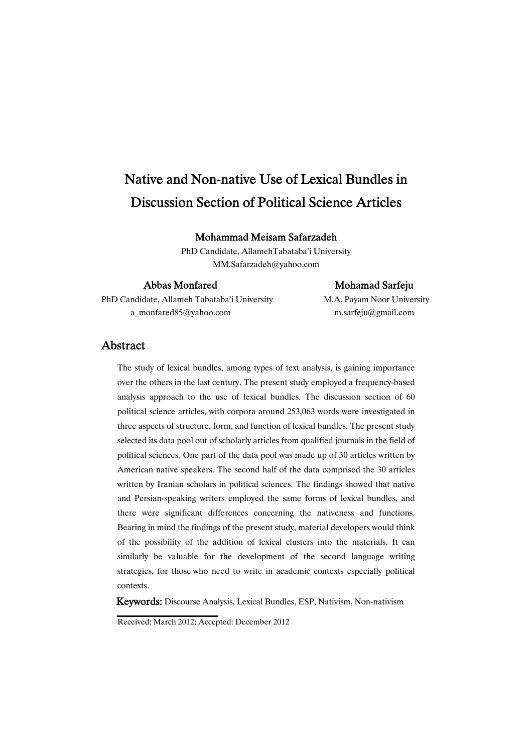# Native and Non-native Use of Lexical Bundles in Discussion Section of Political Science Articles

Mohammad Meisam Safarzadeh

PhD Candidate, AllamehTabataba'i University MM.Safarzadeh@yahoo.com

### Abbas Monfared Mohamad Sarfeju

PhD Candidate, Allameh Tabataba'i University M.A, Payam Noor University a\_monfared85@yahoo.com m.sarfeju@gmail.com

### Abstract

The study of lexical bundles, among types of text analysis, is gaining importance over the others in the last century. The present study employed a frequency-based analysis approach to the use of lexical bundles. The discussion section of 60 political science articles, with corpora around 253,063 words were investigated in three aspects of structure, form, and function of lexical bundles. The present study selected its data pool out of scholarly articles from qualified journals in the field of political sciences. One part of the data pool was made up of 30 articles written by American native speakers. The second half of the data comprised the 30 articles written by Iranian scholars in political sciences. The findings showed that native and Persian-speaking writers employed the same forms of lexical bundles, and there were significant differences concerning the nativeness and functions. Bearing in mind the findings of the present study, material developers would think of the possibility of the addition of lexical clusters into the materials. It can similarly be valuable for the development of the second language writing strategies, for those who need to write in academic contexts especially political contexts.

Keywords: Discourse Analysis, Lexical Bundles, ESP, Nativism, Non-nativism

Received: March 2012; Accepted: December 2012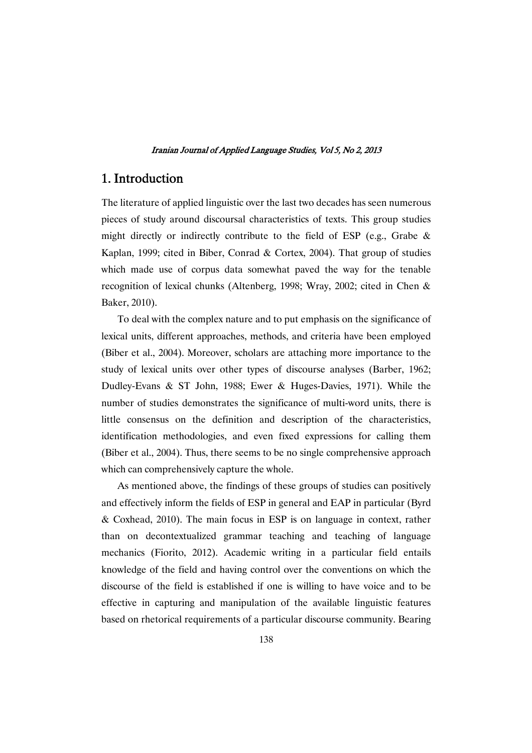### 1.Introduction

The literature of applied linguistic over the last two decades has seen numerous pieces of study around discoursal characteristics of texts. This group studies might directly or indirectly contribute to the field of ESP (e.g., Grabe & Kaplan, 1999; cited in Biber, Conrad & Cortex, 2004). That group of studies which made use of corpus data somewhat paved the way for the tenable recognition of lexical chunks (Altenberg, 1998; Wray, 2002; cited in Chen & Baker, 2010).

To deal with the complex nature and to put emphasis on the significance of lexical units, different approaches, methods, and criteria have been employed (Biber et al., 2004). Moreover, scholars are attaching more importance to the study of lexical units over other types of discourse analyses (Barber, 1962; Dudley-Evans & ST John, 1988; Ewer & Huges-Davies, 1971). While the number of studies demonstrates the significance of multi-word units, there is little consensus on the definition and description of the characteristics, identification methodologies, and even fixed expressions for calling them (Biber et al., 2004). Thus, there seems to be no single comprehensive approach which can comprehensively capture the whole.

As mentioned above, the findings of these groups of studies can positively and effectively inform the fields of ESP in general and EAP in particular (Byrd & Coxhead, 2010). The main focus in ESP is on language in context, rather than on decontextualized grammar teaching and teaching of language mechanics (Fiorito, 2012). Academic writing in a particular field entails knowledge of the field and having control over the conventions on which the discourse of the field is established if one is willing to have voice and to be effective in capturing and manipulation of the available linguistic features based on rhetorical requirements of a particular discourse community. Bearing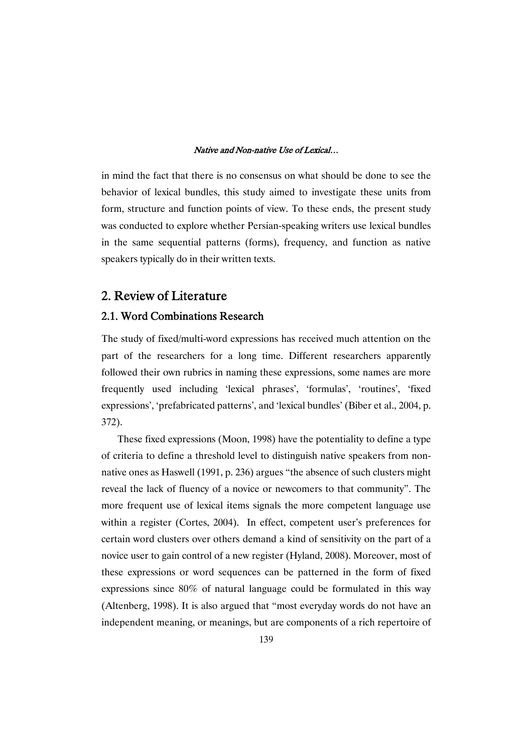in mind the fact that there is no consensus on what should be done to see the behavior of lexical bundles, this study aimed to investigate these units from form, structure and function points of view. To these ends, the present study was conducted to explore whether Persian-speaking writers use lexical bundles in the same sequential patterns (forms), frequency, and function as native speakers typically do in their written texts.

### 2. Review of Literature

### 2.1. Word Combinations Research

The study of fixed/multi-word expressions has received much attention on the part of the researchers for a long time. Different researchers apparently followed their own rubrics in naming these expressions, some names are more frequently used including 'lexical phrases', 'formulas', 'routines', 'fixed expressions', 'prefabricated patterns', and 'lexical bundles' (Biber et al., 2004, p. 372).

These fixed expressions (Moon, 1998) have the potentiality to define a type of criteria to define a threshold level to distinguish native speakers from nonnative ones as Haswell (1991, p. 236) argues "the absence of such clusters might reveal the lack of fluency of a novice or newcomers to that community". The more frequent use of lexical items signals the more competent language use within a register (Cortes, 2004). In effect, competent user's preferences for certain word clusters over others demand a kind of sensitivity on the part of a novice user to gain control of a new register (Hyland, 2008). Moreover, most of these expressions or word sequences can be patterned in the form of fixed expressions since 80% of natural language could be formulated in this way (Altenberg, 1998). It is also argued that "most everyday words do not have an independent meaning, or meanings, but are components of a rich repertoire of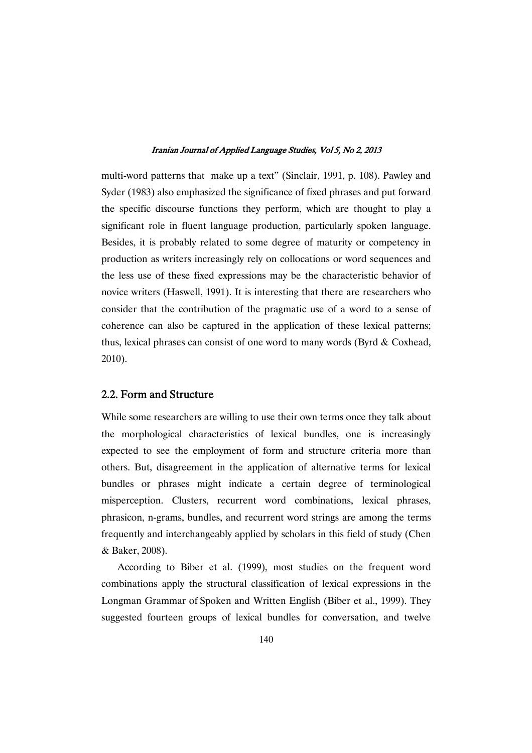multi-word patterns that make up a text" (Sinclair, 1991, p. 108). Pawley and Syder (1983) also emphasized the significance of fixed phrases and put forward the specific discourse functions they perform, which are thought to play a significant role in fluent language production, particularly spoken language. Besides, it is probably related to some degree of maturity or competency in production as writers increasingly rely on collocations or word sequences and the less use of these fixed expressions may be the characteristic behavior of novice writers (Haswell, 1991). It is interesting that there are researchers who consider that the contribution of the pragmatic use of a word to a sense of coherence can also be captured in the application of these lexical patterns; thus, lexical phrases can consist of one word to many words (Byrd & Coxhead, 2010).

### 2.2. Form and Structure

While some researchers are willing to use their own terms once they talk about the morphological characteristics of lexical bundles, one is increasingly expected to see the employment of form and structure criteria more than others. But, disagreement in the application of alternative terms for lexical bundles or phrases might indicate a certain degree of terminological misperception. Clusters, recurrent word combinations, lexical phrases, phrasicon, n-grams, bundles, and recurrent word strings are among the terms frequently and interchangeably applied by scholars in this field of study (Chen & Baker, 2008).

According to Biber et al. (1999), most studies on the frequent word combinations apply the structural classification of lexical expressions in the Longman Grammar of Spoken and Written English (Biber et al., 1999). They suggested fourteen groups of lexical bundles for conversation, and twelve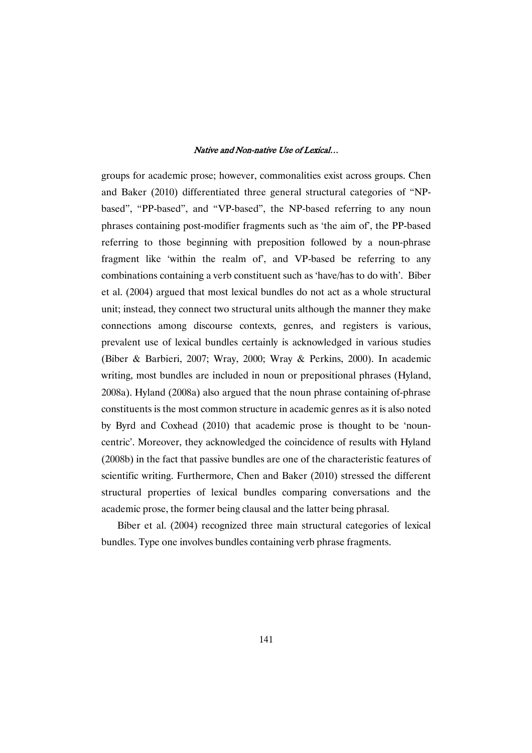groups for academic prose; however, commonalities exist across groups. Chen and Baker (2010) differentiated three general structural categories of "NPbased", "PP-based", and "VP-based", the NP-based referring to any noun phrases containing post-modifier fragments such as 'the aim of', the PP-based referring to those beginning with preposition followed by a noun-phrase fragment like 'within the realm of', and VP-based be referring to any combinations containing a verb constituent such as 'have/has to do with'. Biber et al. (2004) argued that most lexical bundles do not act as a whole structural unit; instead, they connect two structural units although the manner they make connections among discourse contexts, genres, and registers is various, prevalent use of lexical bundles certainly is acknowledged in various studies (Biber & Barbieri, 2007; Wray, 2000; Wray & Perkins, 2000). In academic writing, most bundles are included in noun or prepositional phrases (Hyland, 2008a). Hyland (2008a) also argued that the noun phrase containing of-phrase constituents is the most common structure in academic genres as it is also noted by Byrd and Coxhead (2010) that academic prose is thought to be 'nouncentric'. Moreover, they acknowledged the coincidence of results with Hyland (2008b) in the fact that passive bundles are one of the characteristic features of scientific writing. Furthermore, Chen and Baker (2010) stressed the different structural properties of lexical bundles comparing conversations and the academic prose, the former being clausal and the latter being phrasal.

Biber et al. (2004) recognized three main structural categories of lexical bundles. Type one involves bundles containing verb phrase fragments.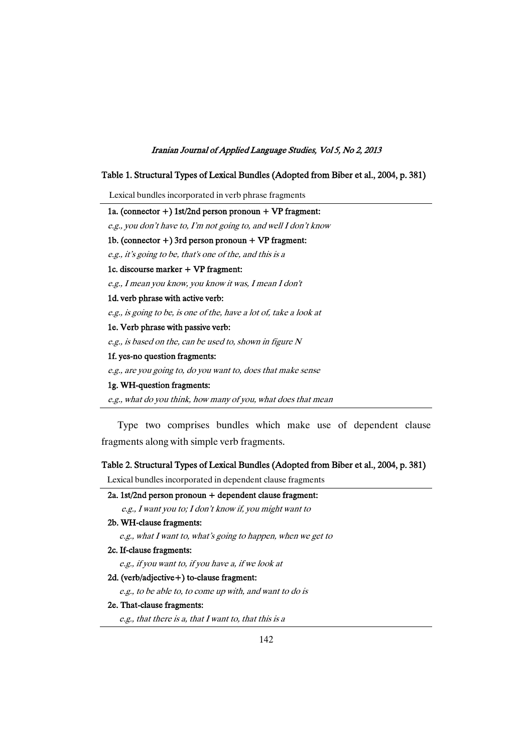#### Table 1. Structural Types of Lexical Bundles (Adopted from Biber et al., 2004, p. 381)

Lexical bundles incorporated in verb phrase fragments

1a. (connector +) 1st/2nd person pronoun + VP fragment: e.g., you don't have to, I'm not going to, and well I don't know 1b. (connector  $+$ ) 3rd person pronoun  $+$  VP fragment: e.g., it's going to be, that's one of the, and this is <sup>a</sup> 1c.discoursemarker+ VPfragment: e.g., I mean you know, you know it was, I mean I don't 1d. verb phrase with active verb: e.g., is going to be, is one of the, have <sup>a</sup> lot of, take <sup>a</sup> look at 1e. Verb phrase with passive verb: e.g., is based on the, can be used to, shown in figure N 1f. yes-no question fragments:

e.g., are you going to, do you want to, does that make sense

#### 1g. WH-question fragments:

e.g., what do you think, how many of you, what does that mean

Type two comprises bundles which make use of dependent clause fragments along with simple verb fragments.

### Table 2. Structural Types of Lexical Bundles (Adopted from Biber et al., 2004, p. 381)

Lexical bundles incorporated in dependent clause fragments

### $2a.1st/2nd$  person pronoun + dependent clause fragment:

e.g., I want you to; I don't know if, you might want to

### 2b. WH-clause fragments:

e.g., what I want to, what's going to happen, when we get to

#### 2c. If-clause fragments:

e.g., if you want to, if you have a, if we look at

#### 2d. (verb/adjective+) to-clause fragment:

e.g., to be able to, to come up with, and want to do is

#### 2e. That-clause fragments:

e.g., that there is a, that I want to, that this is <sup>a</sup>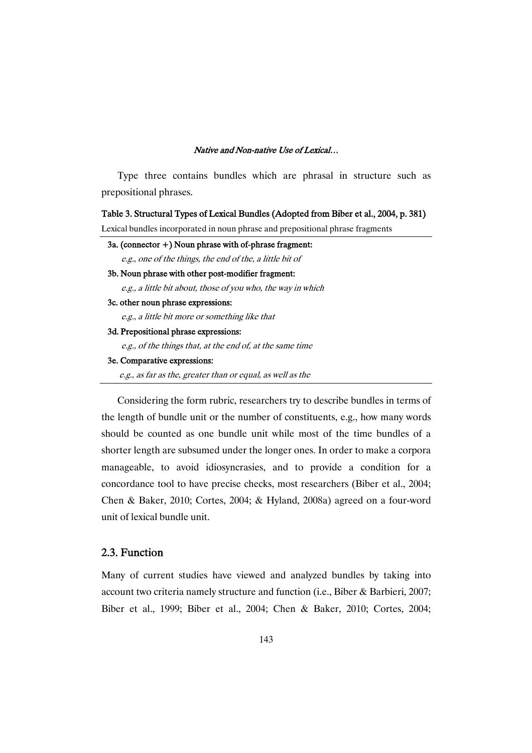Type three contains bundles which are phrasal in structure such as prepositional phrases.

### Table 3. Structural Types of Lexical Bundles (Adopted from Biber et al., 2004, p. 381)

Lexical bundles incorporated in noun phrase and prepositional phrase fragments

| 3a. (connector $+$ ) Noun phrase with of-phrase fragment:    |
|--------------------------------------------------------------|
| e.g., one of the things, the end of the, a little bit of     |
| 3b. Noun phrase with other post-modifier fragment:           |
| e.g., a little bit about, those of you who, the way in which |
| 3c. other noun phrase expressions:                           |
| e.g., a little bit more or something like that               |
| 3d. Prepositional phrase expressions:                        |
| e.g., of the things that, at the end of, at the same time    |
| 3e. Comparative expressions:                                 |
| e.g., as far as the, greater than or equal, as well as the   |

Considering the form rubric, researchers try to describe bundles in terms of the length of bundle unit or the number of constituents, e.g., how many words should be counted as one bundle unit while most of the time bundles of a shorter length are subsumed under the longer ones. In order to make a corpora manageable, to avoid idiosyncrasies, and to provide a condition for a concordance tool to have precise checks, most researchers (Biber et al., 2004; Chen & Baker, 2010; Cortes, 2004; & Hyland, 2008a) agreed on a four-word unit of lexical bundle unit.

### 2.3.Function

Many of current studies have viewed and analyzed bundles by taking into account two criteria namely structure and function (i.e., Biber & Barbieri, 2007; Biber et al., 1999; Biber et al., 2004; Chen & Baker, 2010; Cortes, 2004;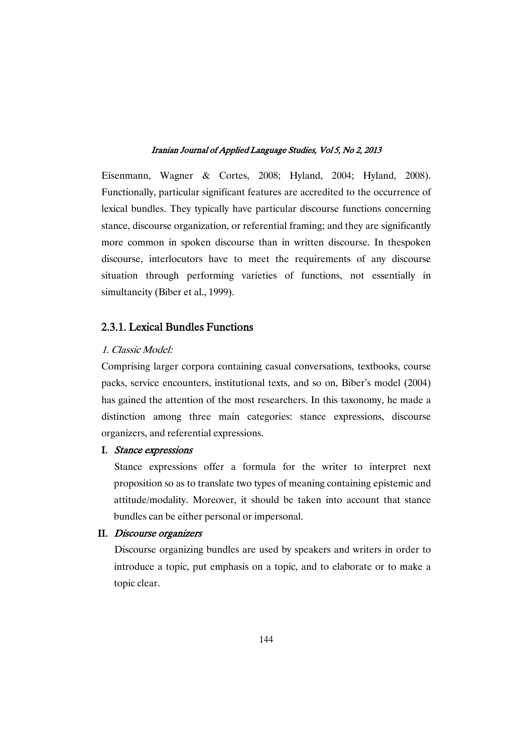Eisenmann, Wagner & Cortes, 2008; Hyland, 2004; Hyland, 2008). Functionally, particular significant features are accredited to the occurrence of lexical bundles. They typically have particular discourse functions concerning stance, discourse organization, or referential framing; and they are significantly more common in spoken discourse than in written discourse. In thespoken discourse, interlocutors have to meet the requirements of any discourse situation through performing varieties of functions, not essentially in simultaneity (Biber et al., 1999).

### 2.3.1. Lexical Bundles Functions

### 1. Classic Model:

Comprising larger corpora containing casual conversations, textbooks, course packs, service encounters, institutional texts, and so on, Biber's model (2004) has gained the attention of the most researchers. In this taxonomy, he made a distinction among three main categories: stance expressions, discourse organizers, and referential expressions.

### I. Stance expressions

Stance expressions offer a formula for the writer to interpret next proposition so as to translate two types of meaning containing epistemic and attitude/modality. Moreover, it should be taken into account that stance bundles can be either personal or impersonal.

### II. Discourse organizers

Discourse organizing bundles are used by speakers and writers in order to introduce a topic, put emphasis on a topic, and to elaborate or to make a topic clear.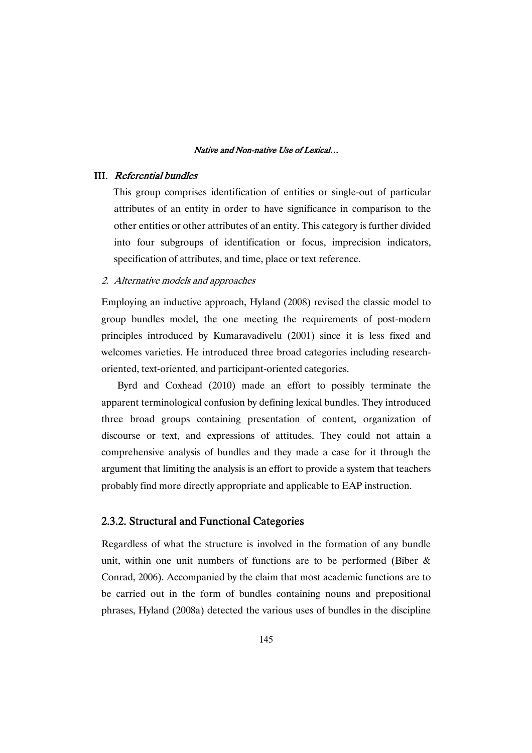### III. Referential bundles

This group comprises identification of entities or single-out of particular attributes of an entity in order to have significance in comparison to the other entities or other attributes of an entity. This category is further divided into four subgroups of identification or focus, imprecision indicators, specification of attributes, and time, place or text reference.

2. Alternative models and approaches

Employing an inductive approach, Hyland (2008) revised the classic model to group bundles model, the one meeting the requirements of post-modern principles introduced by Kumaravadivelu (2001) since it is less fixed and welcomes varieties. He introduced three broad categories including researchoriented, text-oriented, and participant-oriented categories.

Byrd and Coxhead (2010) made an effort to possibly terminate the apparent terminological confusion by defining lexical bundles. They introduced three broad groups containing presentation of content, organization of discourse or text, and expressions of attitudes. They could not attain a comprehensive analysis of bundles and they made a case for it through the argument that limiting the analysis is an effort to provide a system that teachers probably find more directly appropriate and applicable to EAP instruction.

### 2.3.2. Structural and Functional Categories

Regardless of what the structure is involved in the formation of any bundle unit, within one unit numbers of functions are to be performed (Biber  $\&$ Conrad, 2006). Accompanied by the claim that most academic functions are to be carried out in the form of bundles containing nouns and prepositional phrases, Hyland (2008a) detected the various uses of bundles in the discipline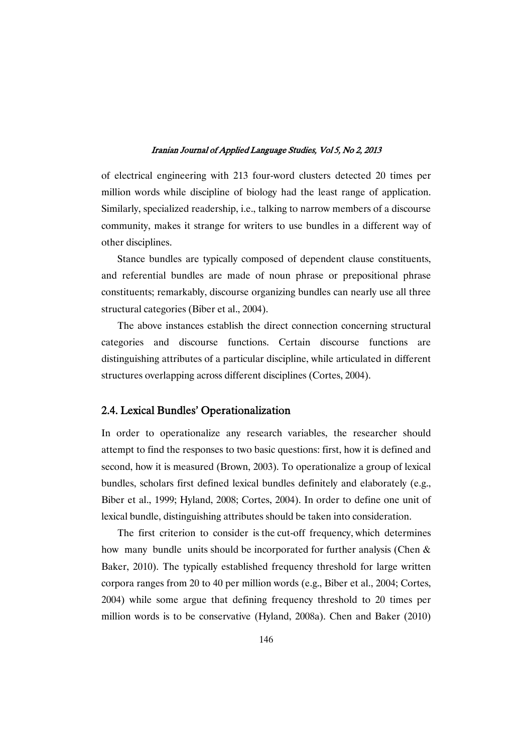of electrical engineering with 213 four-word clusters detected 20 times per million words while discipline of biology had the least range of application. Similarly, specialized readership, i.e., talking to narrow members of a discourse community, makes it strange for writers to use bundles in a different way of other disciplines.

Stance bundles are typically composed of dependent clause constituents, and referential bundles are made of noun phrase or prepositional phrase constituents; remarkably, discourse organizing bundles can nearly use all three structural categories (Biber et al., 2004).

The above instances establish the direct connection concerning structural categories and discourse functions. Certain discourse functions are distinguishing attributes of a particular discipline, while articulated in different structures overlapping across different disciplines (Cortes, 2004).

### 2.4. Lexical Bundles' Operationalization

In order to operationalize any research variables, the researcher should attempt to find the responses to two basic questions: first, how it is defined and second, how it is measured (Brown, 2003). To operationalize a group of lexical bundles, scholars first defined lexical bundles definitely and elaborately (e.g., Biber et al., 1999; Hyland, 2008; Cortes, 2004). In order to define one unit of lexical bundle, distinguishing attributes should be taken into consideration.

The first criterion to consider is the cut-off frequency, which determines how many bundle units should be incorporated for further analysis (Chen & Baker, 2010). The typically established frequency threshold for large written corpora ranges from 20 to 40 per million words (e.g., Biber et al., 2004; Cortes, 2004) while some argue that defining frequency threshold to 20 times per million words is to be conservative (Hyland, 2008a). Chen and Baker (2010)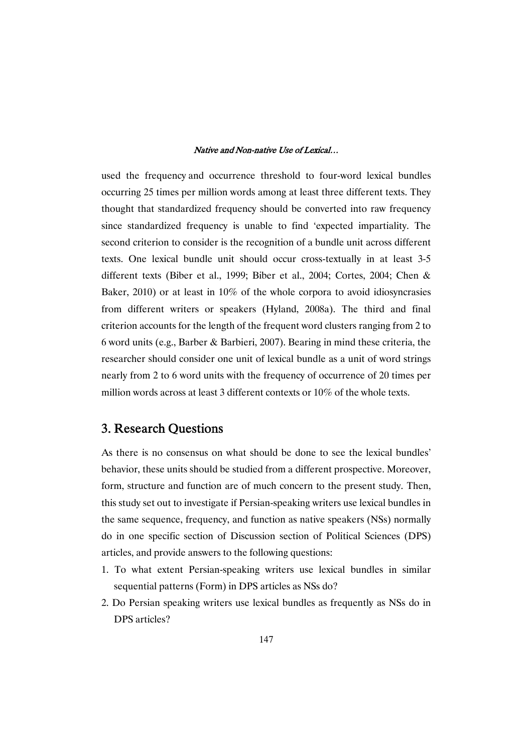used the frequency and occurrence threshold to four-word lexical bundles occurring 25 times per million words among at least three different texts. They thought that standardized frequency should be converted into raw frequency since standardized frequency is unable to find 'expected impartiality. The second criterion to consider is the recognition of a bundle unit across different texts. One lexical bundle unit should occur cross-textually in at least 3-5 different texts (Biber et al., 1999; Biber et al., 2004; Cortes, 2004; Chen & Baker, 2010) or at least in 10% of the whole corpora to avoid idiosyncrasies from different writers or speakers (Hyland, 2008a). The third and final criterion accounts for the length of the frequent word clusters ranging from 2 to 6 word units (e.g., Barber & Barbieri, 2007). Bearing in mind these criteria, the researcher should consider one unit of lexical bundle as a unit of word strings nearly from 2 to 6 word units with the frequency of occurrence of 20 times per million words across at least 3 different contexts or 10% of the whole texts.

### 3. Research Ouestions

As there is no consensus on what should be done to see the lexical bundles' behavior, these units should be studied from a different prospective. Moreover, form, structure and function are of much concern to the present study. Then, this study set out to investigate if Persian-speaking writers use lexical bundles in the same sequence, frequency, and function as native speakers (NSs) normally do in one specific section of Discussion section of Political Sciences (DPS) articles, and provide answers to the following questions:

- 1. To what extent Persian-speaking writers use lexical bundles in similar sequential patterns (Form) in DPS articles as NSs do?
- 2. Do Persian speaking writers use lexical bundles as frequently as NSs do in DPS articles?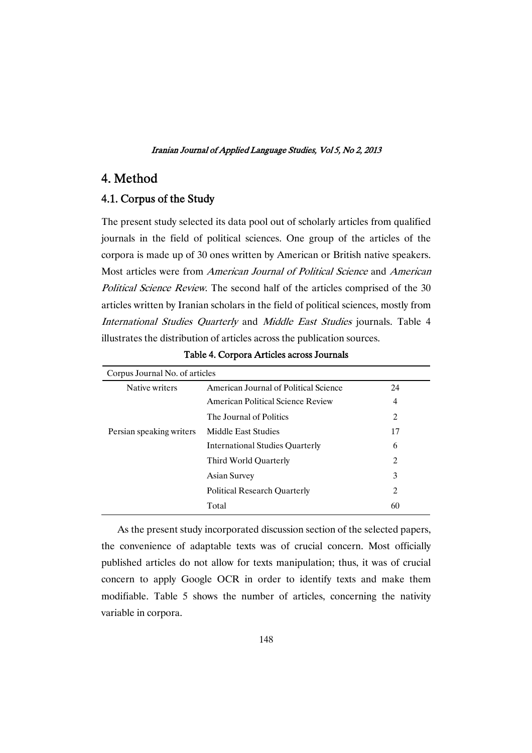### 4.Method

### 4.1. Corpus of the Study

The present study selected its data pool out of scholarly articles from qualified journals in the field of political sciences. One group of the articles of the corpora is made up of 30 ones written by American or British native speakers. Most articles were from American Journal of Political Science and American Political Science Review. The second half of the articles comprised of the 30 articles written by Iranian scholars in the field of political sciences, mostly from International Studies Quarterly and Middle East Studies journals. Table 4 illustrates the distribution of articles across the publication sources.

| Corpus Journal No. of articles         |    |
|----------------------------------------|----|
| American Journal of Political Science  | 24 |
| American Political Science Review      | 4  |
| The Journal of Politics                | 2  |
| Middle East Studies                    | 17 |
| <b>International Studies Quarterly</b> | 6  |
| Third World Quarterly                  | 2  |
| Asian Survey                           | 3  |
| <b>Political Research Quarterly</b>    | 2  |
| Total                                  | 60 |
|                                        |    |

Table 4. Corpora Articles across Journals

As the present study incorporated discussion section of the selected papers, the convenience of adaptable texts was of crucial concern. Most officially published articles do not allow for texts manipulation; thus, it was of crucial concern to apply Google OCR in order to identify texts and make them modifiable. Table 5 shows the number of articles, concerning the nativity variable in corpora.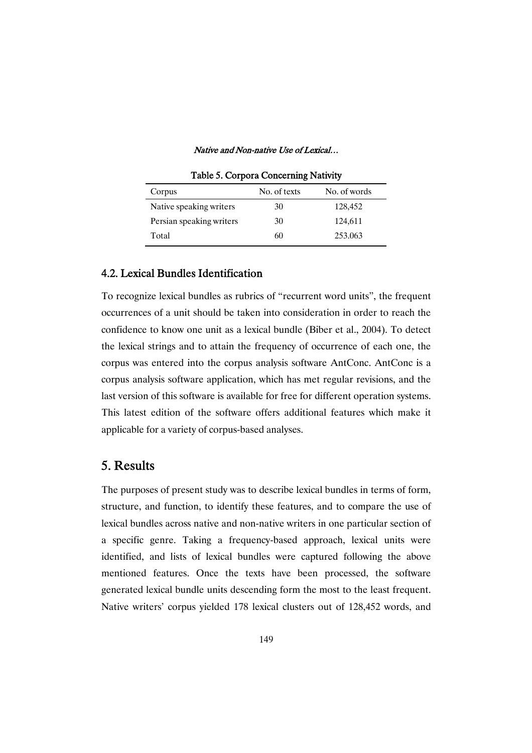| Table 5. Corpora Concerning Nativity |              |              |  |  |
|--------------------------------------|--------------|--------------|--|--|
| Corpus                               | No. of texts | No. of words |  |  |
| Native speaking writers              | 30           | 128,452      |  |  |
| Persian speaking writers             | 30           | 124,611      |  |  |
| Total                                | 60           | 253.063      |  |  |

### 4.2. Lexical Bundles Identification

To recognize lexical bundles as rubrics of "recurrent word units", the frequent occurrences of a unit should be taken into consideration in order to reach the confidence to know one unit as a lexical bundle (Biber et al., 2004). To detect the lexical strings and to attain the frequency of occurrence of each one, the corpus was entered into the corpus analysis software AntConc. AntConc is a corpus analysis software application, which has met regular revisions, and the last version of this software is available for free for different operation systems. This latest edition of the software offers additional features which make it applicable for a variety of corpus-based analyses.

### 5.Results

The purposes of present study was to describe lexical bundles in terms of form, structure, and function, to identify these features, and to compare the use of lexical bundles across native and non-native writers in one particular section of a specific genre. Taking a frequency-based approach, lexical units were identified, and lists of lexical bundles were captured following the above mentioned features. Once the texts have been processed, the software generated lexical bundle units descending form the most to the least frequent. Native writers' corpus yielded 178 lexical clusters out of 128,452 words, and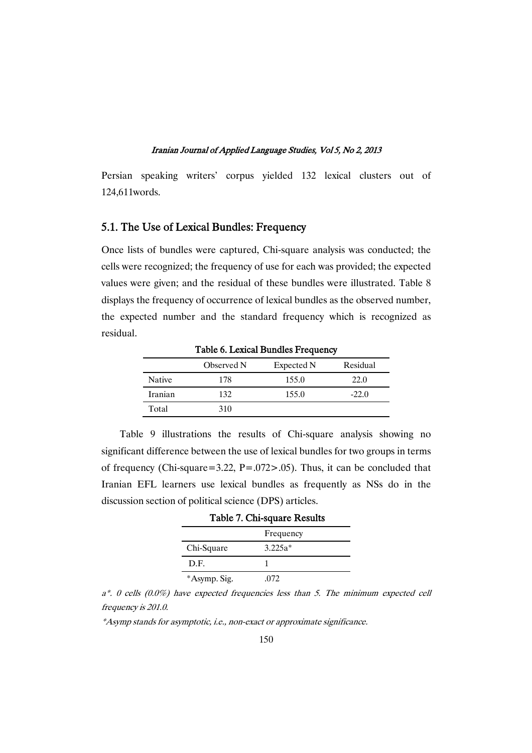Persian speaking writers' corpus yielded 132 lexical clusters out of 124,611words.

### 5.1. The Use of Lexical Bundles: Frequency

Once lists of bundles were captured, Chi-square analysis was conducted; the cells were recognized; the frequency of use for each was provided; the expected values were given; and the residual of these bundles were illustrated. Table 8 displays the frequency of occurrence of lexical bundles as the observed number, the expected number and the standard frequency which is recognized as residual.

|               | Observed N | Expected N | Residual |
|---------------|------------|------------|----------|
| <b>Native</b> | 178        | 155.0      | 22.0     |
| Iranian       | 132.       | 155.0      | $-22.0$  |
| Total         | 310        |            |          |

Table 6. Lexical Bundles Frequency

Table 9 illustrations the results of Chi-square analysis showing no significant difference between the use of lexical bundles for two groups in terms of frequency (Chi-square=3.22, P=.072>.05). Thus, it can be concluded that Iranian EFL learners use lexical bundles as frequently as NSs do in the discussion section of political science (DPS) articles.

| Table 7. Chi-square Results |           |  |  |
|-----------------------------|-----------|--|--|
|                             | Frequency |  |  |
| Chi-Square                  | $3.225a*$ |  |  |
| D.F.                        |           |  |  |
| *Asymp. Sig.                | -072      |  |  |

 $a^*$ . 0 cells (0.0%) have expected frequencies less than 5. The minimum expected cell frequency is 201.0.

\*Asymp stands for asymptotic, i.e., non-exact or approximate significance.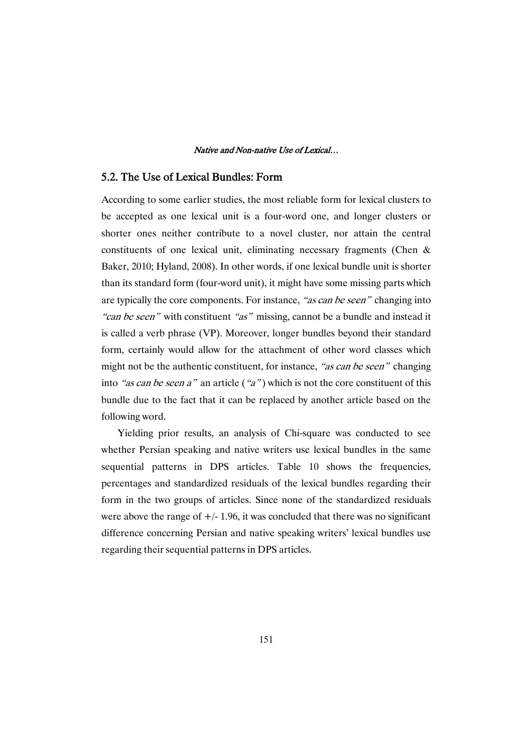### 5.2. The Use of Lexical Bundles: Form

According to some earlier studies, the most reliable form for lexical clusters to be accepted as one lexical unit is a four-word one, and longer clusters or shorter ones neither contribute to a novel cluster, nor attain the central constituents of one lexical unit, eliminating necessary fragments (Chen & Baker, 2010; Hyland, 2008). In other words, if one lexical bundle unit is shorter than its standard form (four-word unit), it might have some missing parts which are typically the core components. For instance, "as can be seen" changing into "can be seen" with constituent "as" missing, cannot be a bundle and instead it is called a verb phrase (VP). Moreover, longer bundles beyond their standard form, certainly would allow for the attachment of other word classes which might not be the authentic constituent, for instance, "as can be seen" changing into "as can be seen a" an article ("a") which is not the core constituent of this bundle due to the fact that it can be replaced by another article based on the following word.

Yielding prior results, an analysis of Chi-square was conducted to see whether Persian speaking and native writers use lexical bundles in the same sequential patterns in DPS articles. Table 10 shows the frequencies, percentages and standardized residuals of the lexical bundles regarding their form in the two groups of articles. Since none of the standardized residuals were above the range of  $+/- 1.96$ , it was concluded that there was no significant difference concerning Persian and native speaking writers' lexical bundles use regarding their sequential patterns in DPS articles.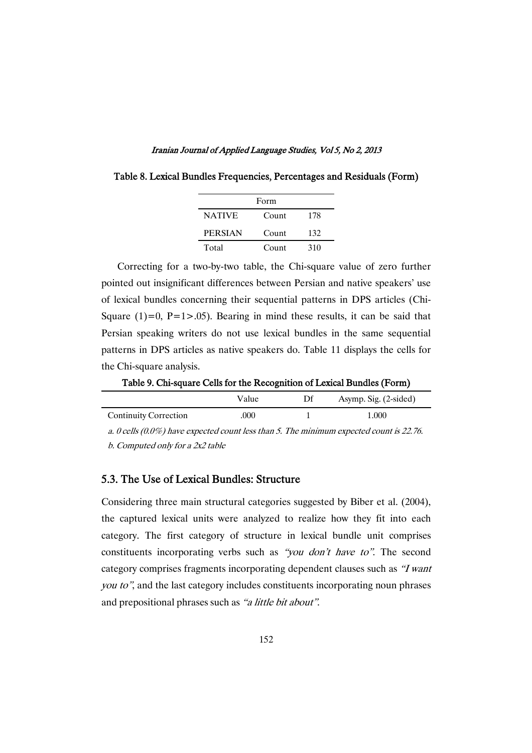| Form           |       |     |  |  |
|----------------|-------|-----|--|--|
| <b>NATIVE</b>  | Count | 178 |  |  |
| <b>PERSIAN</b> | Count | 132 |  |  |
| Total          | Count | 310 |  |  |

Table 8. Lexical Bundles Frequencies, Percentages and Residuals (Form)

Correcting for a two-by-two table, the Chi-square value of zero further pointed out insignificant differences between Persian and native speakers' use of lexical bundles concerning their sequential patterns in DPS articles (Chi-Square  $(1)=0$ , P=1>.05). Bearing in mind these results, it can be said that Persian speaking writers do not use lexical bundles in the same sequential patterns in DPS articles as native speakers do. Table 11 displays the cells for the Chi-square analysis.

Table 9. Chi-square Cells for the Recognition of Lexical Bundles (Form)

|                              | Value | Df | Asymp. Sig. (2-sided) |
|------------------------------|-------|----|-----------------------|
| <b>Continuity Correction</b> | .000  |    | 1.000                 |

a. 0 cells (0.0%) have expected count less than 5. The minimum expected count is 22.76. b. Computed only for <sup>a</sup> 2x2 table

### 5.3. The Use of Lexical Bundles: Structure

Considering three main structural categories suggested by Biber et al. (2004), the captured lexical units were analyzed to realize how they fit into each category. The first category of structure in lexical bundle unit comprises constituents incorporating verbs such as "you don't have to". The second category comprises fragments incorporating dependent clauses such as "I want you to", and the last category includes constituents incorporating noun phrases and prepositional phrases such as "a little bit about".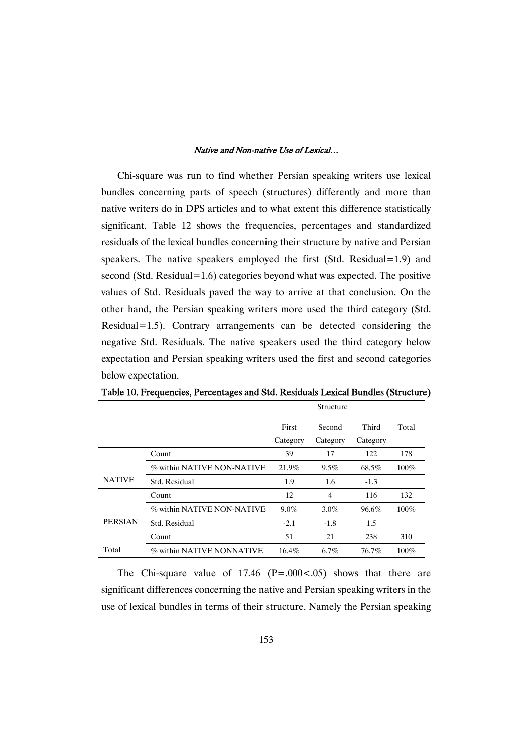Chi-square was run to find whether Persian speaking writers use lexical bundles concerning parts of speech (structures) differently and more than native writers do in DPS articles and to what extent this difference statistically significant. Table 12 shows the frequencies, percentages and standardized residuals of the lexical bundles concerning their structure by native and Persian speakers. The native speakers employed the first  $(Std. Residual = 1.9)$  and second (Std. Residual=1.6) categories beyond what was expected. The positive values of Std. Residuals paved the way to arrive at that conclusion. On the other hand, the Persian speaking writers more used the third category (Std. Residual=1.5). Contrary arrangements can be detected considering the negative Std. Residuals. The native speakers used the third category below expectation and Persian speaking writers used the first and second categories below expectation.

|                |                            | Structure |                |          |         |
|----------------|----------------------------|-----------|----------------|----------|---------|
|                |                            | First     | Second         | Third    | Total   |
|                |                            | Category  | Category       | Category |         |
|                | Count                      | 39        | 17             | 122      | 178     |
|                | % within NATIVE NON-NATIVE | 21.9%     | $9.5\%$        | 68.5%    | $100\%$ |
| <b>NATIVE</b>  | Std. Residual              | 1.9       | 1.6            | $-1.3$   |         |
|                | Count                      | 12        | $\overline{4}$ | 116      | 132     |
|                | % within NATIVE NON-NATIVE | $9.0\%$   | $3.0\%$        | 96.6%    | $100\%$ |
| <b>PERSIAN</b> | Std. Residual              | $-2.1$    | $-1.8$         | 1.5      |         |
|                | Count                      | 51        | 21             | 238      | 310     |
| Total          | % within NATIVE NONNATIVE  | 16.4%     | $6.7\%$        | 76.7%    | $100\%$ |

Table 10. Frequencies, Percentages and Std. Residuals Lexical Bundles (Structure)

The Chi-square value of 17.46  $(P=.000-.05)$  shows that there are significant differences concerning the native and Persian speaking writers in the use of lexical bundles in terms of their structure. Namely the Persian speaking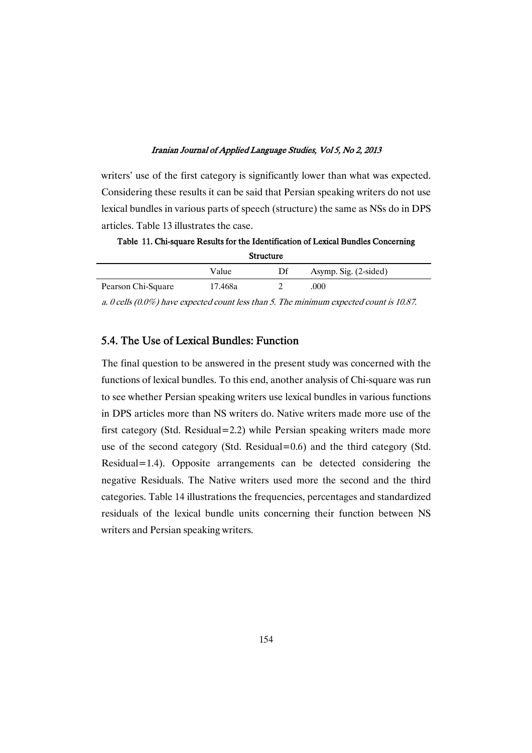writers' use of the first category is significantly lower than what was expected. Considering these results it can be said that Persian speaking writers do not use lexical bundles in various parts of speech (structure) the same as NSs do in DPS articles. Table 13 illustrates the case.

Table 11. Chi-square Results for the Identification of Lexical Bundles Concerning Structure

| ---------          |         |    |                       |  |
|--------------------|---------|----|-----------------------|--|
|                    | Value   | Df | Asymp. Sig. (2-sided) |  |
| Pearson Chi-Square | 17.468a |    | 000                   |  |

a. 0 cells (0.0%) have expected count less than 5. The minimum expected count is 10.87.

### 5.4. The Use of Lexical Bundles: Function

The final question to be answered in the present study was concerned with the functions of lexical bundles. To this end, another analysis of Chi-square was run to see whether Persian speaking writers use lexical bundles in various functions in DPS articles more than NS writers do. Native writers made more use of the first category (Std. Residual=2.2) while Persian speaking writers made more use of the second category (Std. Residual= $0.6$ ) and the third category (Std. Residual=1.4). Opposite arrangements can be detected considering the negative Residuals. The Native writers used more the second and the third categories. Table 14 illustrations the frequencies, percentages and standardized residuals of the lexical bundle units concerning their function between NS writers and Persian speaking writers.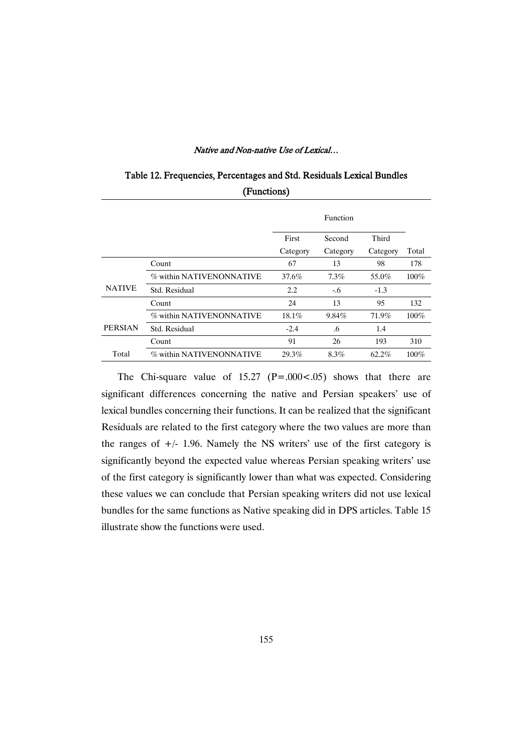|                | `                        | ,        |          |          |         |
|----------------|--------------------------|----------|----------|----------|---------|
|                |                          |          | Function |          |         |
|                |                          | First    | Second   | Third    |         |
|                |                          | Category | Category | Category | Total   |
|                | Count                    | 67       | 13       | 98       | 178     |
|                | % within NATIVENONNATIVE | 37.6%    | $7.3\%$  | 55.0%    | $100\%$ |
| <b>NATIVE</b>  | Std. Residual            | 2.2      | $-0.6$   | $-1.3$   |         |
|                | Count                    | 24       | 13       | 95       | 132     |
|                | % within NATIVENONNATIVE | 18.1%    | 9.84%    | 71.9%    | $100\%$ |
| <b>PERSIAN</b> | Std. Residual            | $-2.4$   | .6       | 1.4      |         |
|                | Count                    | 91       | 26       | 193      | 310     |
| Total          | % within NATIVENONNATIVE | 29.3%    | 8.3%     | 62.2%    | $100\%$ |

### Table 12. Frequencies, Percentages and Std. Residuals Lexical Bundles (Functions)

The Chi-square value of  $15.27$  (P=.000 <.05) shows that there are significant differences concerning the native and Persian speakers' use of lexical bundles concerning their functions. It can be realized that the significant Residuals are related to the first category where the two values are more than the ranges of  $+/- 1.96$ . Namely the NS writers' use of the first category is significantly beyond the expected value whereas Persian speaking writers' use of the first category is significantly lower than what was expected. Considering these values we can conclude that Persian speaking writers did not use lexical bundles for the same functions as Native speaking did in DPS articles. Table 15 illustrate show the functions were used.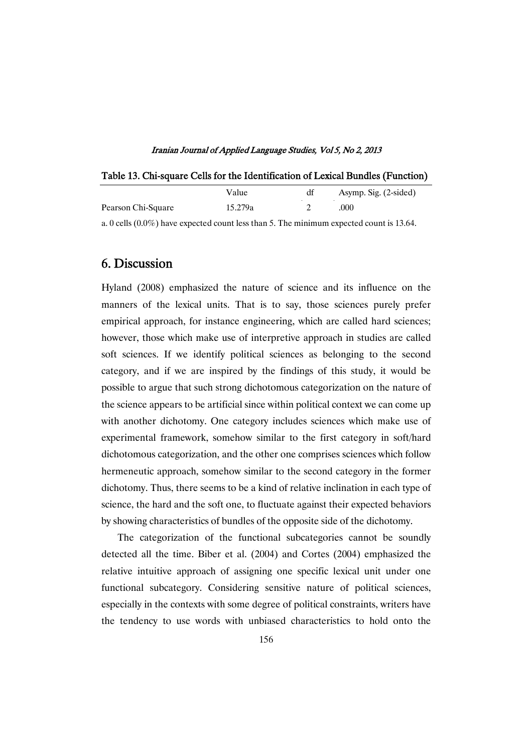### Table 13. Chi-square Cells for the Identification of Lexical Bundles (Function)

|                    | Value   | Asymp. Sig. (2-sided) |
|--------------------|---------|-----------------------|
| Pearson Chi-Square | 15.279a | .000                  |

a. 0 cells  $(0.0\%)$  have expected count less than 5. The minimum expected count is 13.64.

### 6.Discussion

Hyland (2008) emphasized the nature of science and its influence on the manners of the lexical units. That is to say, those sciences purely prefer empirical approach, for instance engineering, which are called hard sciences; however, those which make use of interpretive approach in studies are called soft sciences. If we identify political sciences as belonging to the second category, and if we are inspired by the findings of this study, it would be possible to argue that such strong dichotomous categorization on the nature of the science appears to be artificial since within political context we can come up with another dichotomy. One category includes sciences which make use of experimental framework, somehow similar to the first category in soft/hard dichotomous categorization, and the other one comprises sciences which follow hermeneutic approach, somehow similar to the second category in the former dichotomy. Thus, there seems to be a kind of relative inclination in each type of science, the hard and the soft one, to fluctuate against their expected behaviors by showing characteristics of bundles of the opposite side of the dichotomy.

The categorization of the functional subcategories cannot be soundly detected all the time. Biber et al. (2004) and Cortes (2004) emphasized the relative intuitive approach of assigning one specific lexical unit under one functional subcategory. Considering sensitive nature of political sciences, especially in the contexts with some degree of political constraints, writers have the tendency to use words with unbiased characteristics to hold onto the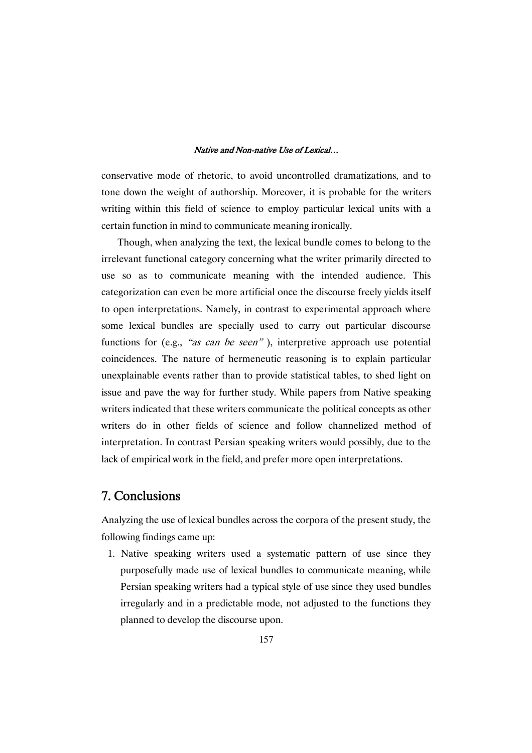conservative mode of rhetoric, to avoid uncontrolled dramatizations, and to tone down the weight of authorship. Moreover, it is probable for the writers writing within this field of science to employ particular lexical units with a certain function in mind to communicate meaning ironically.

Though, when analyzing the text, the lexical bundle comes to belong to the irrelevant functional category concerning what the writer primarily directed to use so as to communicate meaning with the intended audience. This categorization can even be more artificial once the discourse freely yields itself to open interpretations. Namely, in contrast to experimental approach where some lexical bundles are specially used to carry out particular discourse functions for (e.g., "as can be seen"), interpretive approach use potential coincidences. The nature of hermeneutic reasoning is to explain particular unexplainable events rather than to provide statistical tables, to shed light on issue and pave the way for further study. While papers from Native speaking writers indicated that these writers communicate the political concepts as other writers do in other fields of science and follow channelized method of interpretation. In contrast Persian speaking writers would possibly, due to the lack of empirical work in the field, and prefer more open interpretations.

### 7.Conclusions

Analyzing the use of lexical bundles across the corpora of the present study, the following findings came up:

1. Native speaking writers used a systematic pattern of use since they purposefully made use of lexical bundles to communicate meaning, while Persian speaking writers had a typical style of use since they used bundles irregularly and in a predictable mode, not adjusted to the functions they planned to develop the discourse upon.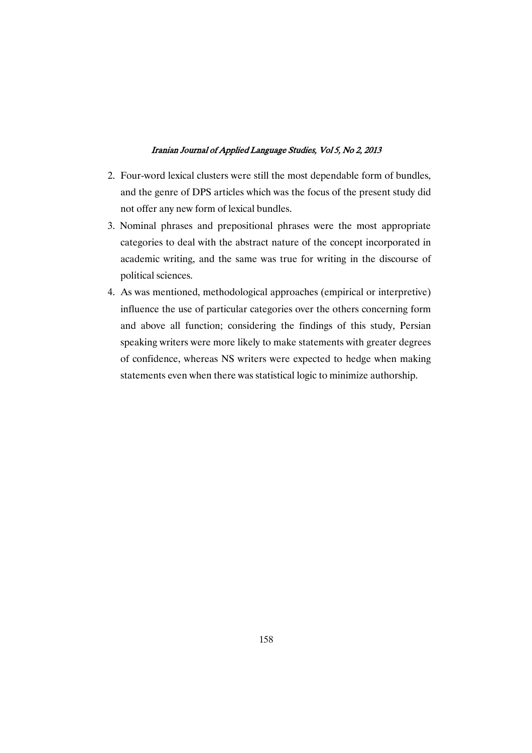- 2. Four-word lexical clusters were still the most dependable form of bundles, and the genre of DPS articles which was the focus of the present study did not offer any new form of lexical bundles.
- 3. Nominal phrases and prepositional phrases were the most appropriate categories to deal with the abstract nature of the concept incorporated in academic writing, and the same was true for writing in the discourse of political sciences.
- 4. As was mentioned, methodological approaches (empirical or interpretive) influence the use of particular categories over the others concerning form and above all function; considering the findings of this study, Persian speaking writers were more likely to make statements with greater degrees of confidence, whereas NS writers were expected to hedge when making statements even when there was statistical logic to minimize authorship.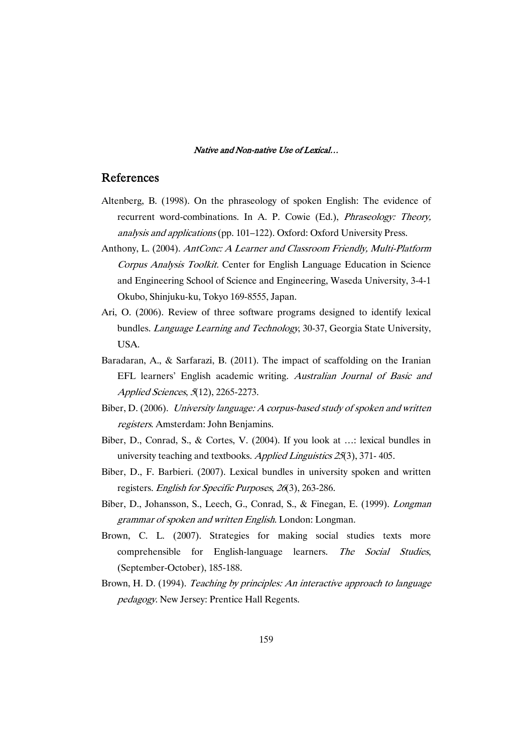### References

- Altenberg, B. (1998). On the phraseology of spoken English: The evidence of recurrent word-combinations. In A. P. Cowie (Ed.), Phraseology: Theory, analysis and applications (pp. 101–122). Oxford: Oxford University Press.
- Anthony, L. (2004). AntConc: <sup>A</sup> Learner and Classroom Friendly, Multi-Platform Corpus Analysis Toolkit. Center for English Language Education in Science and Engineering School of Science and Engineering, Waseda University, 3-4-1 Okubo, Shinjuku-ku, Tokyo 169-8555, Japan.
- Ari, O. (2006). Review of three software programs designed to identify lexical bundles. Language Learning and Technology, 30-37, Georgia State University, USA.
- Baradaran, A., & Sarfarazi, B. (2011). The impact of scaffolding on the Iranian EFL learners' English academic writing. Australian Journal of Basic and Applied Sciences, <sup>5</sup>(12), 2265-2273.
- Biber, D. (2006). University language: <sup>A</sup> corpus-based study of spoken and written registers. Amsterdam: John Benjamins.
- Biber, D., Conrad, S., & Cortes, V. (2004). If you look at …: lexical bundles in university teaching and textbooks. Applied Linguistics <sup>25</sup>(3), 371- 405.
- Biber, D., F. Barbieri. (2007). Lexical bundles in university spoken and written registers. English for Specific Purposes, <sup>26</sup>(3), 263-286.
- Biber, D., Johansson, S., Leech, G., Conrad, S., & Finegan, E. (1999). Longman grammar of spoken and written English. London: Longman.
- Brown, C. L. (2007). Strategies for making social studies texts more comprehensible for English-language learners. The Social Studies, (September-October), 185-188.
- Brown, H. D. (1994). Teaching by principles: An interactive approach to language pedagogy. New Jersey: Prentice Hall Regents.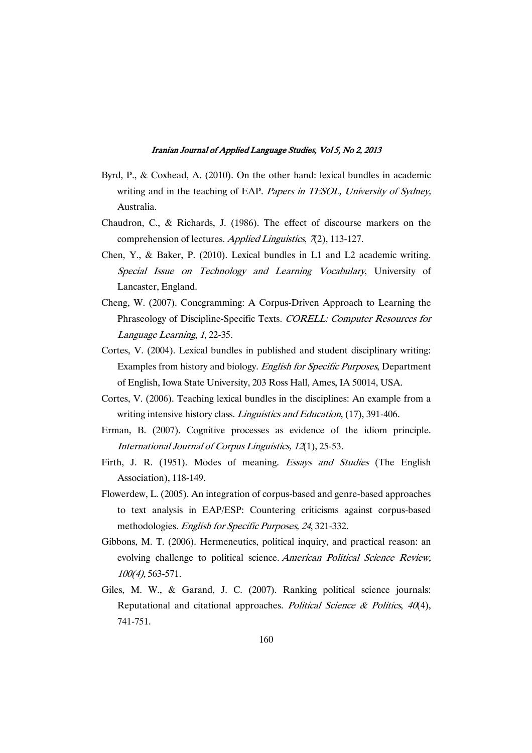- Byrd, P., & Coxhead, A. (2010). On the other hand: lexical bundles in academic writing and in the teaching of EAP. Papers in TESOL, University of Sydney, Australia.
- Chaudron, C., & Richards, J. (1986). The effect of discourse markers on the comprehension of lectures. Applied Linguistics, 7(2), 113-127.
- Chen, Y., & Baker, P. (2010). Lexical bundles in L1 and L2 academic writing. Special Issue on Technology and Learning Vocabulary, University of Lancaster, England.
- Cheng, W. (2007). Concgramming: A Corpus-Driven Approach to Learning the Phraseology of Discipline-Specific Texts. CORELL: Computer Resources for Language Learning, <sup>1</sup>, 22-35.
- Cortes, V. (2004). Lexical bundles in published and student disciplinary writing: Examples from history and biology. English for Specific Purposes, Department of English, Iowa State University, 203 Ross Hall, Ames, IA 50014, USA.
- Cortes, V. (2006). Teaching lexical bundles in the disciplines: An example from a writing intensive history class. *Linguistics and Education*, (17), 391-406.
- Erman, B. (2007). Cognitive processes as evidence of the idiom principle. International Journal of Corpus Linguistics, <sup>12</sup>(1), 25-53.
- Firth, J. R. (1951). Modes of meaning. Essays and Studies (The English Association), 118-149.
- Flowerdew, L. (2005). An integration of corpus-based and genre-based approaches to text analysis in EAP/ESP: Countering criticisms against corpus-based methodologies. English for Specific Purposes, <sup>24</sup>, 321-332.
- Gibbons, M. T. (2006). Hermeneutics, political inquiry, and practical reason: an evolving challenge to political science. American Political Science Review, 100(4), 563-571.
- Giles, M. W., & Garand, J. C. (2007). Ranking political science journals: Reputational and citational approaches. Political Science & Politics,  $40(4)$ , 741-751.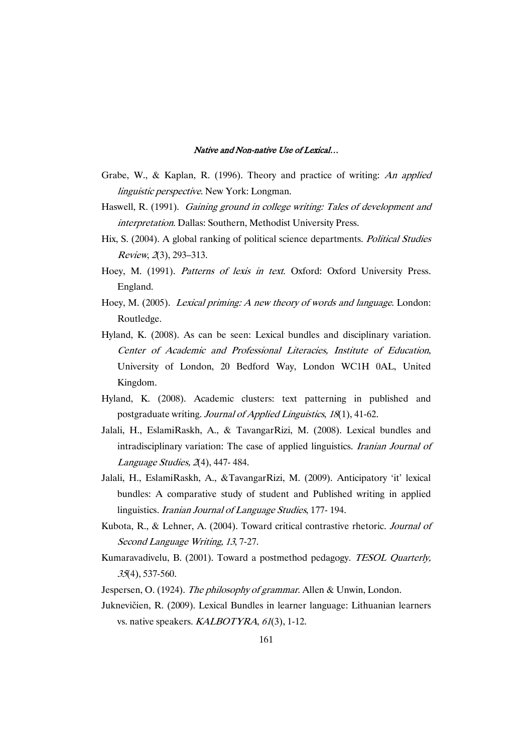- Grabe, W., & Kaplan, R. (1996). Theory and practice of writing: An applied linguistic perspective. New York: Longman.
- Haswell, R. (1991). Gaining ground in college writing: Tales of development and interpretation. Dallas: Southern, Methodist University Press.
- Hix, S. (2004). A global ranking of political science departments. Political Studies Review, <sup>2</sup>(3), 293–313.
- Hoey, M. (1991). Patterns of lexis in text. Oxford: Oxford University Press. England.
- Hoey, M. (2005). Lexical priming: <sup>A</sup> new theory of words and language. London: Routledge.
- Hyland, K. (2008). As can be seen: Lexical bundles and disciplinary variation. Center of Academic and Professional Literacies, Institute of Education, University of London, 20 Bedford Way, London WC1H 0AL, United Kingdom.
- Hyland, K. (2008). Academic clusters: text patterning in published and postgraduate writing. Journal of Applied Linguistics, <sup>18</sup>(1), 41-62.
- Jalali, H., EslamiRaskh, A., & TavangarRizi, M. (2008). Lexical bundles and intradisciplinary variation: The case of applied linguistics. Iranian Journal of Language Studies, <sup>2</sup>(4), 447- 484.
- Jalali, H., EslamiRaskh, A., &TavangarRizi, M. (2009). Anticipatory 'it' lexical bundles: A comparative study of student and Published writing in applied linguistics. Iranian Journal of Language Studies, 177- 194.
- Kubota, R., & Lehner, A. (2004). Toward critical contrastive rhetoric. Journal of Second Language Writing, <sup>13</sup>, 7-27.
- Kumaravadivelu, B. (2001). Toward a postmethod pedagogy. TESOL Quarterly, <sup>35</sup>(4), 537-560.

Jespersen, O. (1924). The philosophy of grammar. Allen & Unwin, London.

Juknevičien, R. (2009). Lexical Bundles in learner language: Lithuanian learners vs. native speakers. KALBOTYRA, 61(3), 1-12.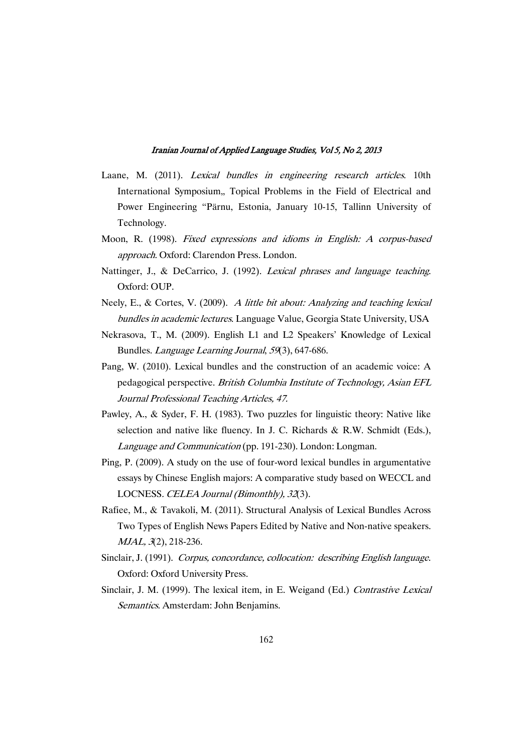- Laane, M. (2011). Lexical bundles in engineering research articles. 10th International Symposium, Topical Problems in the Field of Electrical and Power Engineering "Pärnu, Estonia, January 10-15, Tallinn University of Technology.
- Moon, R. (1998). Fixed expressions and idioms in English: <sup>A</sup> corpus-based approach. Oxford: Clarendon Press. London.
- Nattinger, J., & DeCarrico, J. (1992). Lexical phrases and language teaching. Oxford: OUP.
- Neely, E., & Cortes, V. (2009). <sup>A</sup> little bit about: Analyzing and teaching lexical bundles in academic lectures. Language Value, Georgia State University, USA
- Nekrasova, T., M. (2009). English L1 and L2 Speakers' Knowledge of Lexical Bundles. Language Learning Journal, <sup>59</sup>(3), 647-686.
- Pang, W. (2010). Lexical bundles and the construction of an academic voice: A pedagogical perspective. British Columbia Institute of Technology, Asian EFL Journal Professional Teaching Articles, 47.
- Pawley, A., & Syder, F. H. (1983). Two puzzles for linguistic theory: Native like selection and native like fluency. In J. C. Richards & R.W. Schmidt (Eds.), Language and Communication (pp. 191-230). London: Longman.
- Ping, P. (2009). A study on the use of four-word lexical bundles in argumentative essays by Chinese English majors: A comparative study based on WECCL and LOCNESS. CELEA Journal (Bimonthly), <sup>32</sup>(3).
- Rafiee, M., & Tavakoli, M. (2011). Structural Analysis of Lexical Bundles Across Two Types of English News Papers Edited by Native and Non-native speakers. MJAL, <sup>3</sup>(2), 218-236.
- Sinclair, J. (1991). Corpus, concordance, collocation: describing English language. Oxford: Oxford University Press.
- Sinclair, J. M. (1999). The lexical item, in E. Weigand (Ed.) Contrastive Lexical Semantics. Amsterdam: John Benjamins.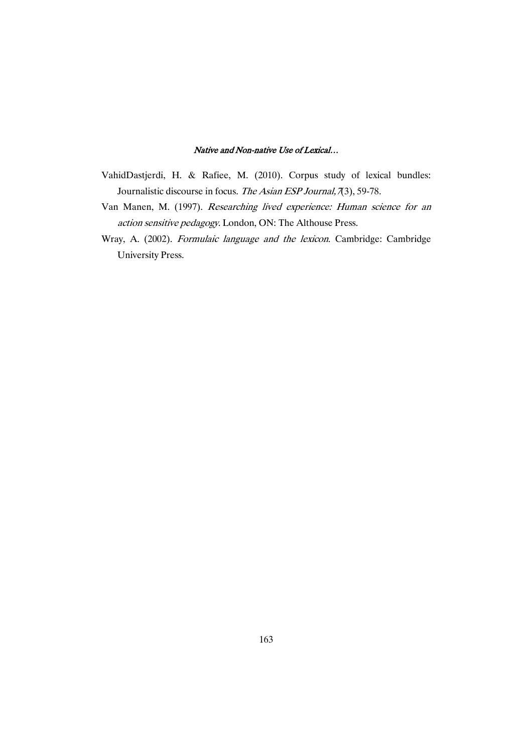- VahidDastjerdi, H. & Rafiee, M. (2010). Corpus study of lexical bundles: Journalistic discourse in focus. The Asian ESP Journal, 7(3), 59-78.
- Van Manen, M. (1997). Researching lived experience: Human science for an action sensitive pedagogy. London, ON: The Althouse Press.
- Wray, A. (2002). Formulaic language and the lexicon. Cambridge: Cambridge University Press.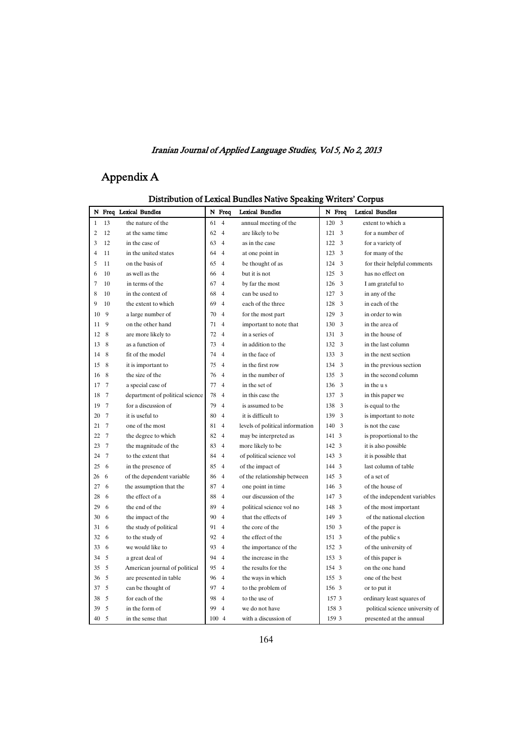# AppendixA

| N Freq Lexical Bundles                                   | N Freq               | <b>Lexical Bundles</b>          | N Freq                         | <b>Lexical Bundles</b>          |
|----------------------------------------------------------|----------------------|---------------------------------|--------------------------------|---------------------------------|
| 13<br>the nature of the<br>$\mathbf{1}$                  | 61<br>$\overline{4}$ | annual meeting of the           | 3<br>120                       | extent to which a               |
| 12<br>2<br>at the same time                              | 62<br>$\overline{4}$ | are likely to be                | $\overline{3}$<br>121          | for a number of                 |
| 3<br>12<br>in the case of                                | 63<br>$\overline{4}$ | as in the case                  | $\overline{\mathbf{3}}$<br>122 | for a variety of                |
| in the united states<br>$\overline{4}$<br>11             | 64<br>$\overline{4}$ | at one point in                 | 3<br>123                       | for many of the                 |
| 5<br>11<br>on the basis of                               | 65<br>$\overline{4}$ | be thought of as                | 3<br>124                       | for their helpful comments      |
| 6<br>10<br>as well as the                                | 66<br>$\overline{4}$ | but it is not                   | 125<br>3                       | has no effect on                |
| 7<br>10<br>in terms of the                               | 67<br>$\overline{4}$ | by far the most                 | 3<br>126                       | I am grateful to                |
| 8<br>10<br>in the context of                             | 68<br>$\overline{4}$ | can be used to                  | 3<br>127                       | in any of the                   |
| 9<br>10<br>the extent to which                           | 69<br>$\overline{4}$ | each of the three               | 3<br>128                       | in each of the                  |
| 9<br>10<br>a large number of                             | 70<br>$\overline{4}$ | for the most part               | 3<br>129                       | in order to win                 |
| 9<br>on the other hand<br>11                             | $\overline{4}$<br>71 | important to note that          | 130<br>3                       | in the area of                  |
| 8<br>12<br>are more likely to                            | 72<br>$\overline{4}$ | in a series of                  | 3<br>131                       | in the house of                 |
| 8<br>as a function of<br>13                              | 73<br>$\overline{4}$ | in addition to the              | $\overline{3}$<br>132          | in the last column              |
| 8<br>fit of the model<br>14                              | 74<br>$\overline{4}$ | in the face of                  | 133<br>$\overline{3}$          | in the next section             |
| 8<br>it is important to<br>15                            | 75<br>$\overline{4}$ | in the first row                | 134<br>3                       | in the previous section         |
| 8<br>the size of the<br>16                               | 76<br>$\overline{4}$ | in the number of                | $\overline{\mathbf{3}}$<br>135 | in the second column            |
| $7\phantom{.0}$<br>17<br>a special case of               | 77<br>$\overline{4}$ | in the set of                   | 3<br>136                       | in the us                       |
| $7\phantom{.0}$<br>department of political science<br>18 | 78<br>$\overline{4}$ | in this case the                | 3<br>137                       | in this paper we                |
| for a discussion of<br>19<br>7                           | 79<br>$\overline{4}$ | is assumed to be                | 138<br>3                       | is equal to the                 |
| $7\phantom{.0}$<br>it is useful to<br>20                 | 80<br>$\overline{4}$ | it is difficult to              | 139<br>3                       | is important to note            |
| $\overline{7}$<br>one of the most<br>21                  | $\overline{4}$<br>81 | levels of political information | $\overline{3}$<br>140          | is not the case                 |
| $7\phantom{.0}$<br>the degree to which<br>22             | 82<br>$\overline{4}$ | may be interpreted as           | 141 3                          | is proportional to the          |
| $7\phantom{.0}$<br>the magnitude of the<br>23            | 83<br>$\overline{4}$ | more likely to be               | 142 3                          | it is also possible             |
| $\overline{7}$<br>to the extent that<br>24               | 84<br>$\overline{4}$ | of political science vol        | 143 3                          | it is possible that             |
| 25<br>- 6<br>in the presence of                          | 85<br>$\overline{4}$ | of the impact of                | 144 3                          | last column of table            |
| of the dependent variable<br>26<br>6                     | 86<br>$\overline{4}$ | of the relationship between     | 145 3                          | of a set of                     |
| the assumption that the<br>27<br>6                       | 87<br>$\overline{4}$ | one point in time               | 146 3                          | of the house of                 |
| the effect of a<br>28<br>6                               | 88<br>$\overline{4}$ | our discussion of the           | 147 3                          | of the independent variables    |
| 29<br>6<br>the end of the                                | 89<br>$\overline{4}$ | political science vol no        | 148 3                          | of the most important           |
| 30<br>6<br>the impact of the                             | 90<br>$\overline{4}$ | that the effects of             | 149 3                          | of the national election        |
| the study of political<br>31<br>6                        | 91<br>$\overline{4}$ | the core of the                 | 150 3                          | of the paper is                 |
| to the study of<br>32<br>6                               | 92<br>$\overline{4}$ | the effect of the               | 151 3                          | of the public s                 |
| - 6<br>we would like to<br>33                            | 93<br>$\overline{4}$ | the importance of the           | 152 3                          | of the university of            |
| 5<br>34<br>a great deal of                               | 94<br>$\overline{4}$ | the increase in the             | 153 3                          | of this paper is                |
| 35<br>5<br>American journal of political                 | 95<br>$\overline{4}$ | the results for the             | 154 3                          | on the one hand                 |
| 5<br>are presented in table<br>36                        | 96<br>$\overline{4}$ | the ways in which               | 155 3                          | one of the best                 |
| 5<br>can be thought of<br>37                             | 97<br>$\overline{4}$ | to the problem of               | 156 3                          | or to put it                    |
| .5<br>for each of the<br>38                              | 98<br>$\overline{4}$ | to the use of                   | 157 3                          | ordinary least squares of       |
| 5<br>39<br>in the form of                                | 99<br>$\overline{4}$ | we do not have                  | 158 3                          | political science university of |
| 5<br>40<br>in the sense that                             | 100 4                | with a discussion of            | 159 3                          | presented at the annual         |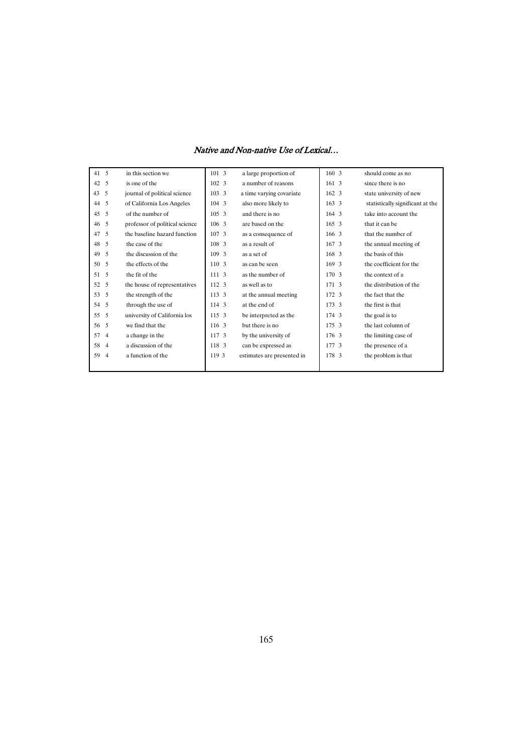| 41 5                 | in this section we             | 1013             | a large proportion of      | 160.3         | should come as no                |
|----------------------|--------------------------------|------------------|----------------------------|---------------|----------------------------------|
| 42<br>- 5            | is one of the                  | 102 3            | a number of reasons        | 161 3         | since there is no                |
| 5<br>43              | journal of political science   | 103 3            | a time varying covariate   | 162 3         | state university of new          |
| 5<br>44              | of California Los Angeles      | 104 3            | also more likely to        | $163 \quad 3$ | statistically significant at the |
| 5<br>45              | of the number of               | 105, 3           | and there is no            | $164 - 3$     | take into account the            |
| -5<br>46             | professor of political science | 106 <sub>3</sub> | are based on the           | 165, 3        | that it can be                   |
| 5<br>47              | the baseline hazard function   | 107.3            | as a consequence of        | 166 3         | that the number of               |
| 5<br>48              | the case of the                | 108 3            | as a result of             | 167, 3        | the annual meeting of            |
| 5<br>49              | the discussion of the          | 109.3            | as a set of                | 168 3         | the basis of this                |
| 5<br>50              | the effects of the             | 110 3            | as can be seen             | 169 3         | the coefficient for the          |
| 5<br>51              | the fit of the                 | 111 3            | as the number of           | 170.3         | the context of a                 |
| 52<br>- 5            | the house of representatives   | 112.3            | as well as to              | 171, 3        | the distribution of the          |
| 53<br>.5             | the strength of the            | 113 3            | at the annual meeting      | 172 3         | the fact that the                |
| -5<br>54             | through the use of             | 114 3            | at the end of              | 173 3         | the first is that                |
| 55<br>-5             | university of California los   | 115 3            | be interpreted as the      | 174 3         | the goal is to                   |
| $\sim$<br>56         | we find that the               | 116 3            | but there is no            | 175 3         | the last column of               |
| 57<br>$\overline{4}$ | a change in the                | 117.3            | by the university of       | 176 3         | the limiting case of             |
| 58<br>$\overline{4}$ | a discussion of the            | 118 3            | can be expressed as        | 177 3         | the presence of a                |
| 59<br>$\overline{4}$ | a function of the              | 119 3            | estimates are presented in | 178 3         | the problem is that              |
|                      |                                |                  |                            |               |                                  |
|                      |                                |                  |                            |               |                                  |